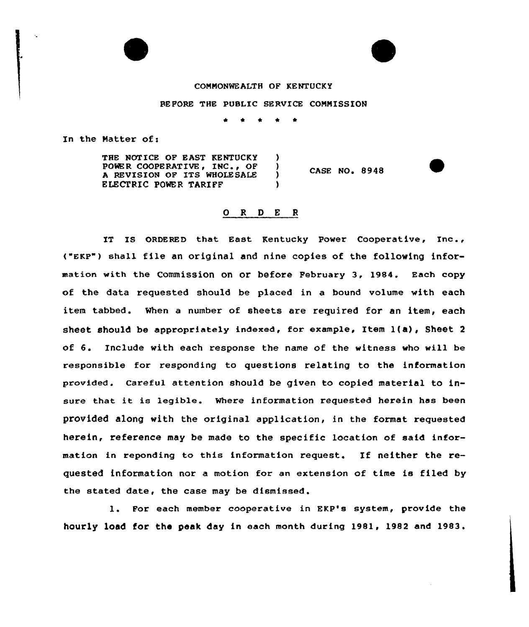## COMNONWEALTH OF KENTUCKY

BEFORE THE PUBLIC SERVICE COMMISSION

In the Matter of:

THE NOTICE OF EAST KENTUCKY )<br>POWER COOPERATIVE, INC., OF ) POWER COOPERATIVE, INC., OF )<br>A REVISION OF ITS WHOLESALE ) A REVISION OF ITS WHOLESALE ELECTRIC POWER TARIFF ) CASE NO. 8948

## 0 <sup>R</sup> <sup>D</sup> E <sup>R</sup>

IT IS ORDERED that East Kentucky Power Cooperative, Inc., ("EKP") shell file an original and nine copies of the following information with the Commission on or before February 3, 1984. Each copy of the data requested should be placed in a bound volume with each item tabbed. When a number of sheets are required for an item, each sheet should be appropriately indexed, for example, Item  $l(a)$ , Sheet 2 of 6. Include with each response the name of the witness who will be responsible for responding to questions relating to the information provided. Careful attention should be given to copied material to insure that it is legible. Where information requested herein has been provided along with the original application, in the format requested herein, reference may be made to the specific location of said information in reponding to this information request. If neither the requested information nor a motion for an extension of time is filed by the stated date, the case may be dismissed.

1. For each member cooperative in EKP's system, provide the hourly load for the peak day in each month during 1981, 1982 and 1983.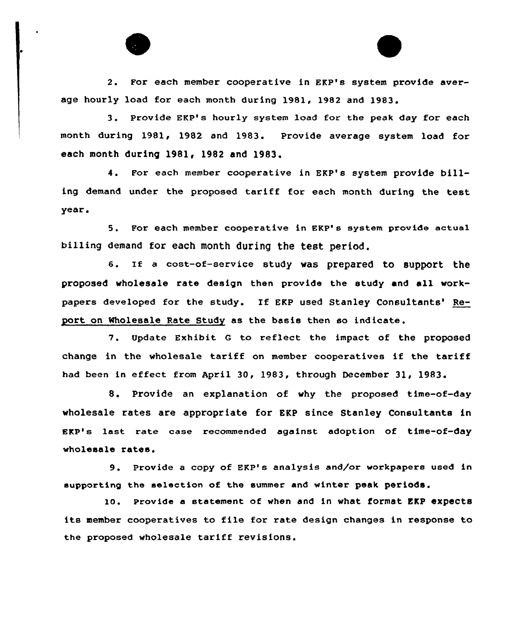

2. For each member cooperative in EKP's system provide average hourly load for each month during 1981, 1982 and 1983.

3. Provide EKP's hourly system load for the peak day for each month during 1981< 1982 and 1983. Provide average system load for each month during 1981, 1982 and 1983.

4. For each member cooperative in EKP's system provide billing demand under the proposed tariff for each month during the test year .

5. For each member cooperative in EKP's system provide actual billing demand for each month during the test period.

6. If a cost-of-service study was prepared to support the proposed wholesale rate design then provide the study and all workpapers developed for the study. If EKP used Stanley Consultants' Report on wholesale Rate Study as the basis then so indicate.

7. Update Exhibit <sup>G</sup> to reflect the impact of the proposed change in the wholesale tariff on member cooperatives if the tariff had been in effect from April 30, 1983, through December 31, 1983.

8. Provide an explanation of why the proposed time-of-day wholesale rates are appropriate for EKP since Stanley Consultants in EKP's last rate case recommended against adoption of time-of-day wholesale rates.

9. Provide a copy of EKP's analysis and/or workpapers used in supporting the selection of the summer and winter peak periods.

lo. provide a statement of when and in what format EKp expects its member cooperatives to file for rate design changes in response to the proposed wholesale tariff revisions.